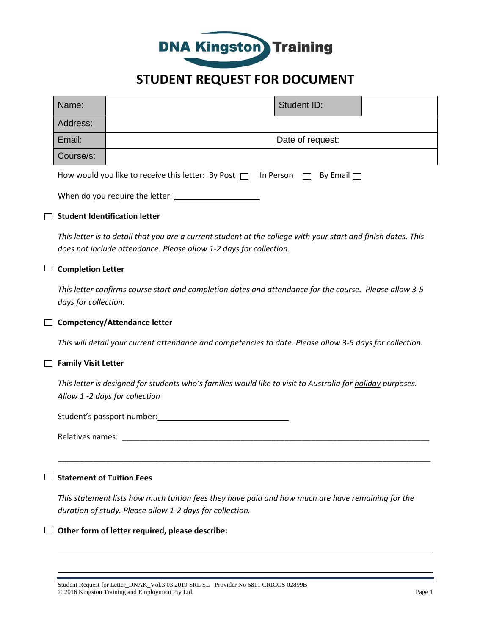

# **STUDENT REQUEST FOR DOCUMENT**

| Name:     |                  | Student ID: |  |
|-----------|------------------|-------------|--|
| Address:  |                  |             |  |
| Email:    | Date of request: |             |  |
| Course/s: |                  |             |  |

| How would you like to receive this letter: By Post $\Box$ In Person $\Box$ By Email $\Box$ |  |  |  |
|--------------------------------------------------------------------------------------------|--|--|--|
|--------------------------------------------------------------------------------------------|--|--|--|

| When do you require the letter: |
|---------------------------------|
|---------------------------------|

### **Student Identification letter**

*This letter is to detail that you are a current student at the college with your start and finish dates. This does not include attendance. Please allow 1-2 days for collection.*

### **Completion Letter**

*This letter confirms course start and completion dates and attendance for the course. Please allow 3-5 days for collection.*

### **Competency/Attendance letter**

*This will detail your current attendance and competencies to date. Please allow 3-5 days for collection.*

### **Family Visit Letter**

*This letter is designed for students who's families would like to visit to Australia for holiday purposes. Allow 1 -2 days for collection*

Student's passport number:

Relatives names: **Example 20** 

## **Statement of Tuition Fees**

*This statement lists how much tuition fees they have paid and how much are have remaining for the duration of study. Please allow 1-2 days for collection.*

\_\_\_\_\_\_\_\_\_\_\_\_\_\_\_\_\_\_\_\_\_\_\_\_\_\_\_\_\_\_\_\_\_\_\_\_\_\_\_\_\_\_\_\_\_\_\_\_\_\_\_\_\_\_\_\_\_\_\_\_\_\_\_\_\_\_\_\_\_\_\_\_\_\_\_\_\_\_\_\_\_\_\_\_\_

#### **Other form of letter required, please describe:**